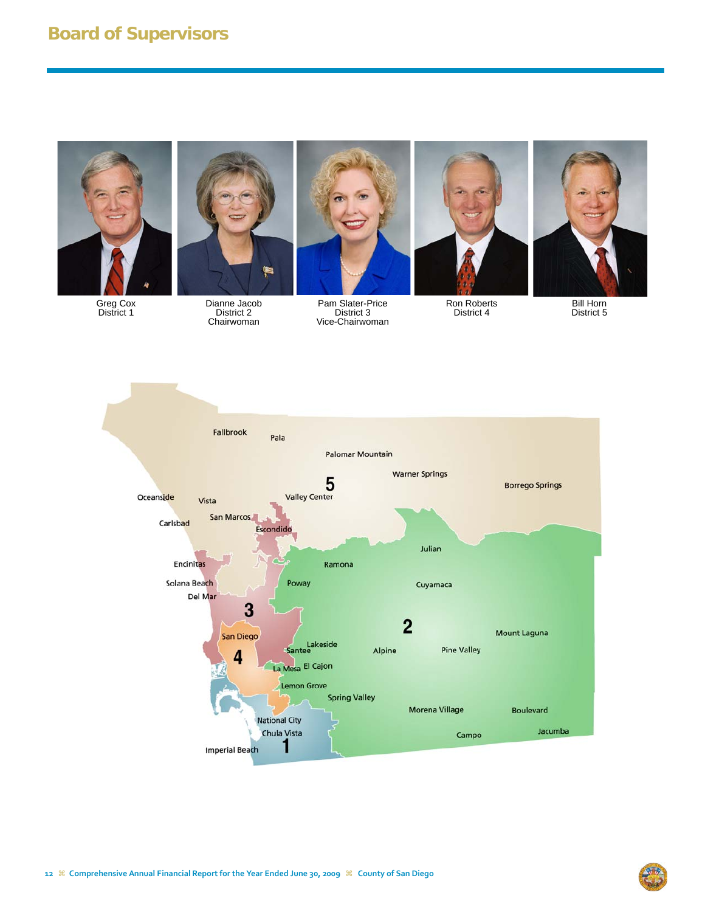# **Board of Supervisors**



Greg Cox District 1



Dianne Jacob District 2 Chairwoman



Pam Slater-Price District 3 Vice-Chairwoman



Ron Roberts District 4



Bill Horn District 5